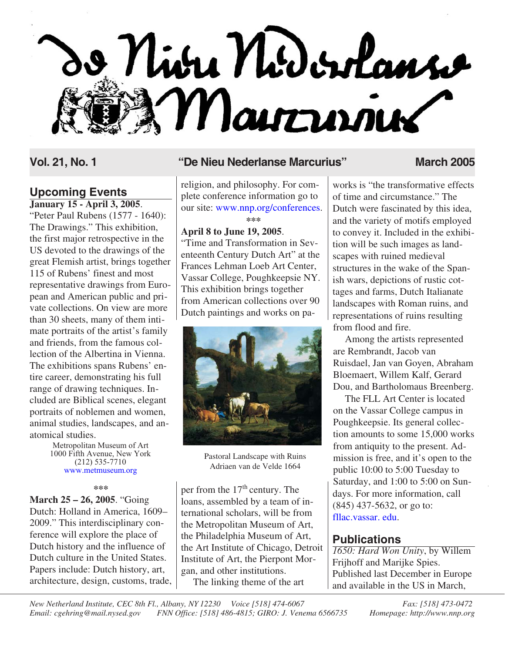# o Niva Nidordans Maurrinier

# **Upcoming Events**

**January 15 - April 3, 2005**.

"Peter Paul Rubens (1577 - 1640): The Drawings." This exhibition, the first major retrospective in the US devoted to the drawings of the great Flemish artist, brings together 115 of Rubens' finest and most representative drawings from European and American public and private collections. On view are more than 30 sheets, many of them intimate portraits of the artist's family and friends, from the famous collection of the Albertina in Vienna. The exhibitions spans Rubens' entire career, demonstrating his full range of drawing techniques. Included are Biblical scenes, elegant portraits of noblemen and women, animal studies, landscapes, and anatomical studies.

> Metropolitan Museum of Art 1000 Fifth Avenue, New York (212) 535-7710 www.metmuseum.org

> > **\*\*\***

**March 25 – 26, 2005**. "Going Dutch: Holland in America, 1609– 2009." This interdisciplinary conference will explore the place of Dutch history and the influence of Dutch culture in the United States. Papers include: Dutch history, art, architecture, design, customs, trade,

# **Vol. 21, No. 1 "De Nieu Nederlanse Marcurius" March 2005**

religion, and philosophy. For complete conference information go to our site: [www.nnp.org/conferences](http://www.nnp.org/conferences). **\*\*\***

### **April 8 to June 19, 2005**.

"Time and Transformation in Seventeenth Century Dutch Art" at the Frances Lehman Loeb Art Center, Vassar College, Poughkeepsie NY. This exhibition brings together from American collections over 90 Dutch paintings and works on pa-



Pastoral Landscape with Ruins Adriaen van de Velde 1664

per from the  $17<sup>th</sup>$  century. The loans, assembled by a team of international scholars, will be from the Metropolitan Museum of Art, the Philadelphia Museum of Art, the Art Institute of Chicago, Detroit Institute of Art, the Pierpont Morgan, and other institutions. The linking theme of the art

works is "the transformative effects of time and circumstance." The Dutch were fascinated by this idea, and the variety of motifs employed to convey it. Included in the exhibition will be such images as landscapes with ruined medieval structures in the wake of the Spanish wars, depictions of rustic cottages and farms, Dutch Italianate landscapes with Roman ruins, and representations of ruins resulting from flood and fire.

Among the artists represented are Rembrandt, Jacob van Ruisdael, Jan van Goyen, Abraham Bloemaert, Willem Kalf, Gerard Dou, and Bartholomaus Breenberg.

The FLL Art Center is located on the Vassar College campus in Poughkeepsie. Its general collection amounts to some 15,000 works from antiquity to the present. Admission is free, and it's open to the public 10:00 to 5:00 Tuesday to Saturday, and 1:00 to 5:00 on Sundays. For more information, call (845) 437-5632, or go to: [fllac.vassar. edu.](http://fllac.vassar.edu)

# **Publications**

*1650: Hard Won Unity*, by Willem Frijhoff and Marijke Spies. Published last December in Europe and available in the US in March,

*New Netherland Institute, CEC 8th Fl., Albany, NY 12230 Voice [518] 474-6067 Fax: [518] 473-0472 Email: cgehring@mail.nysed.gov FNN Office: [518] 486-4815; GIRO: J. Venema 6566735 Homepage: http://www.nnp.org*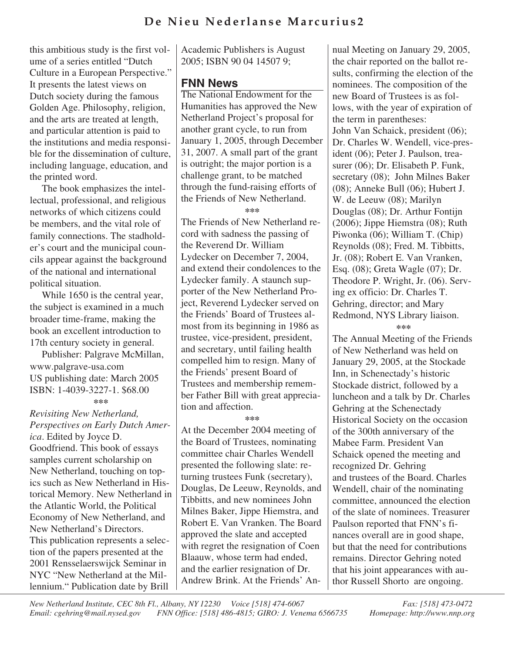# **De Nieu Nederlanse Marcurius2**

this ambitious study is the first volume of a series entitled "Dutch Culture in a European Perspective." It presents the latest views on Dutch society during the famous Golden Age. Philosophy, religion, and the arts are treated at length, and particular attention is paid to the institutions and media responsible for the dissemination of culture, including language, education, and the printed word.

The book emphasizes the intellectual, professional, and religious networks of which citizens could be members, and the vital role of family connections. The stadholder's court and the municipal councils appear against the background of the national and international political situation.

While 1650 is the central year, the subject is examined in a much broader time-frame, making the book an excellent introduction to 17th century society in general.

Publisher: Palgrave McMillan, www.palgrave-usa.com US publishing date: March 2005 ISBN: 1-4039-3227-1. \$68.00 **\*\*\***

*Revisiting New Netherland, Perspectives on Early Dutch America*. Edited by Joyce D. Goodfriend. This book of essays samples current scholarship on New Netherland, touching on topics such as New Netherland in Historical Memory. New Netherland in the Atlantic World, the Political Economy of New Netherland, and New Netherland's Directors. This publication represents a selection of the papers presented at the 2001 Rensselaerswijck Seminar in NYC "New Netherland at the Millennium." Publication date by Brill

Academic Publishers is August 2005; ISBN 90 04 14507 9;

# **FNN News**

The National Endowment for the Humanities has approved the New Netherland Project's proposal for another grant cycle, to run from January 1, 2005, through December 31, 2007. A small part of the grant is outright; the major portion is a challenge grant, to be matched through the fund-raising efforts of the Friends of New Netherland.

**\*\*\***

The Friends of New Netherland record with sadness the passing of the Reverend Dr. William Lydecker on December 7, 2004, and extend their condolences to the Lydecker family. A staunch supporter of the New Netherland Project, Reverend Lydecker served on the Friends' Board of Trustees almost from its beginning in 1986 as trustee, vice-president, president, and secretary, until failing health compelled him to resign. Many of the Friends' present Board of Trustees and membership remember Father Bill with great appreciation and affection.

#### **\*\*\***

At the December 2004 meeting of the Board of Trustees, nominating committee chair Charles Wendell presented the following slate: returning trustees Funk (secretary), Douglas, De Leeuw, Reynolds, and Tibbitts, and new nominees John Milnes Baker, Jippe Hiemstra, and Robert E. Van Vranken. The Board approved the slate and accepted with regret the resignation of Coen Blaauw, whose term had ended, and the earlier resignation of Dr. Andrew Brink. At the Friends' Annual Meeting on January 29, 2005, the chair reported on the ballot results, confirming the election of the nominees. The composition of the new Board of Trustees is as follows, with the year of expiration of the term in parentheses: John Van Schaick, president (06); Dr. Charles W. Wendell, vice-president (06); Peter J. Paulson, treasurer (06); Dr. Elisabeth P. Funk, secretary (08); John Milnes Baker (08); Anneke Bull (06); Hubert J. W. de Leeuw (08); Marilyn Douglas (08); Dr. Arthur Fontijn (2006); Jippe Hiemstra (08); Ruth Piwonka (06); William T. (Chip) Reynolds (08); Fred. M. Tibbitts, Jr. (08); Robert E. Van Vranken, Esq. (08); Greta Wagle (07); Dr. Theodore P. Wright, Jr. (06). Serving ex officio: Dr. Charles T. Gehring, director; and Mary Redmond, NYS Library liaison.

**\*\*\***

The Annual Meeting of the Friends of New Netherland was held on January 29, 2005, at the Stockade Inn, in Schenectady's historic Stockade district, followed by a luncheon and a talk by Dr. Charles Gehring at the Schenectady Historical Society on the occasion of the 300th anniversary of the Mabee Farm. President Van Schaick opened the meeting and recognized Dr. Gehring and trustees of the Board. Charles Wendell, chair of the nominating committee, announced the election of the slate of nominees. Treasurer Paulson reported that FNN's finances overall are in good shape, but that the need for contributions remains. Director Gehring noted that his joint appearances with author Russell Shorto are ongoing.

*New Netherland Institute, CEC 8th Fl., Albany, NY 12230 Voice [518] 474-6067 Fax: [518] 473-0472 Email: cgehring@mail.nysed.gov FNN Office: [518] 486-4815; GIRO: J. Venema 6566735 Homepage: http://www.nnp.org*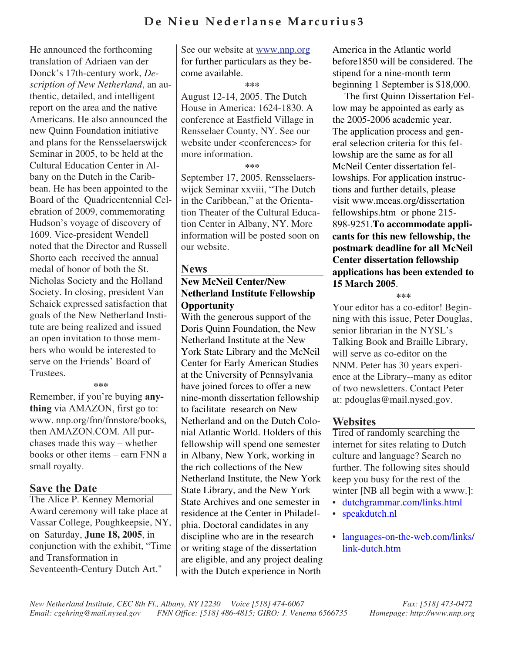# **De Nieu Nederlanse Marcurius3**

He announced the forthcoming translation of Adriaen van der Donck's 17th-century work, *Description of New Netherland*, an authentic, detailed, and intelligent report on the area and the native Americans. He also announced the new Quinn Foundation initiative and plans for the Rensselaerswijck Seminar in 2005, to be held at the Cultural Education Center in Albany on the Dutch in the Caribbean. He has been appointed to the Board of the Quadricentennial Celebration of 2009, commemorating Hudson's voyage of discovery of 1609. Vice-president Wendell noted that the Director and Russell Shorto each received the annual medal of honor of both the St. Nicholas Society and the Holland Society. In closing, president Van Schaick expressed satisfaction that goals of the New Netherland Institute are being realized and issued an open invitation to those members who would be interested to serve on the Friends' Board of Trustees.

#### **\*\*\***

Remember, if you're buying **anything** via AMAZON, first go to: www. nnp.org/fnn/fnnstore/books, then AMAZON.COM. All purchases made this way – whether books or other items – earn FNN a small royalty.

The Alice P. Kenney Memorial Award ceremony will take place at Vassar College, Poughkeepsie, NY, on Saturday, **June 18, 2005**, in conjunction with the exhibit, "Time and Transformation in Seventeenth-Century Dutch Art."

See our website at www.nnp.org for further particulars as they become available.

**\*\*\***

August 12-14, 2005. The Dutch House in America: 1624-1830. A conference at Eastfield Village in Rensselaer County, NY. See our website under <conferences> for more information.

**\*\*\***

September 17, 2005. Rensselaerswijck Seminar xxviii, "The Dutch in the Caribbean," at the Orientation Theater of the Cultural Education Center in Albany, NY. More information will be posted soon on our website.

### **News**

# **News New McNeil Center/New Netherland Institute Fellowship Opportunity**

With the generous support of the Doris Quinn Foundation, the New Netherland Institute at the New York State Library and the McNeil Center for Early American Studies at the University of Pennsylvania have joined forces to offer a new nine-month dissertation fellowship to facilitate research on New Netherland and on the Dutch Colonial Atlantic World. Holders of this fellowship will spend one semester in Albany, New York, working in the rich collections of the New Netherland Institute, the New York State Library, and the New York State Archives and one semester in residence at the Center in Philadelphia. Doctoral candidates in any discipline who are in the research or writing stage of the dissertation are eligible, and any project dealing with the Dutch experience in North America in the Atlantic world before1850 will be considered. The stipend for a nine-month term beginning 1 September is \$18,000.

The first Quinn Dissertation Fellow may be appointed as early as the 2005-2006 academic year. The application process and general selection criteria for this fellowship are the same as for all McNeil Center dissertation fellowships. For application instructions and further details, please visit www.mceas.org/dissertation fellowships.htm or phone 215- 898-9251.**To accommodate applicants for this new fellowship, the postmark deadline for all McNeil Center dissertation fellowship applications has been extended to 15 March 2005**.

**\*\*\***

Your editor has a co-editor! Beginning with this issue, Peter Douglas, senior librarian in the NYSL's Talking Book and Braille Library, will serve as co-editor on the NNM. Peter has 30 years experience at the Library--many as editor of two newsletters. Contact Peter at: pdouglas@mail.nysed.gov.

# **Websites**

Tired of randomly searching the internet for sites relating to Dutch culture and language? Search no further. The following sites should keep you busy for the rest of the winter [NB all begin with a www.]:

- [dutchgrammar.com/links.html](http://www.dutchgrammar.com/links.html)
- [speakdutch.nl](http://www.speakdutch.nl)
- [languages-on-the-web.com/links/](http://www.languages-on-the-web.com/links/link-dutch.htm) link-dutch.htm